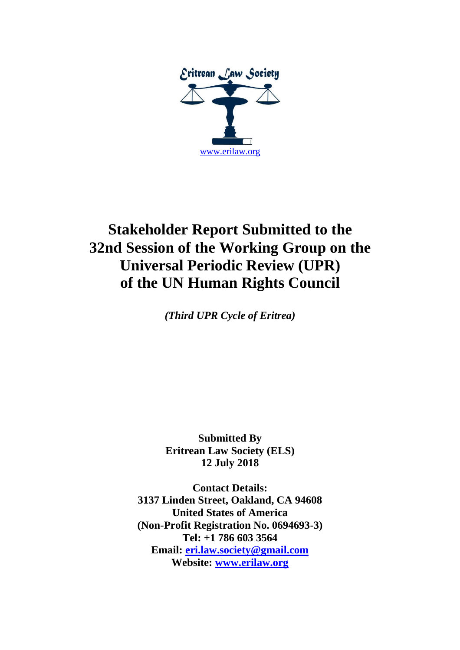

# **Stakeholder Report Submitted to the 32nd Session of the Working Group on the Universal Periodic Review (UPR) of the UN Human Rights Council**

*(Third UPR Cycle of Eritrea)*

**Submitted By Eritrean Law Society (ELS) 12 July 2018**

**Contact Details: 3137 Linden Street, Oakland, CA 94608 United States of America (Non-Profit Registration No. 0694693-3) Tel: +1 786 603 3564 Email: [eri.law.society@gmail.com](mailto:eri.law.society@gmail.com) Website: [www.erilaw.org](http://www.erilaw.org/)**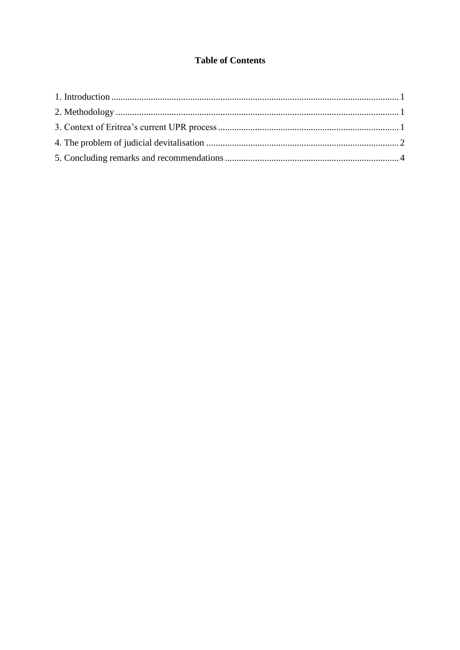#### **Table of Contents**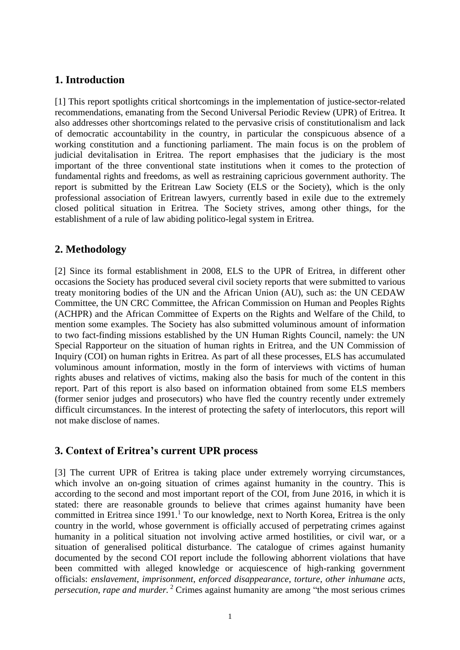## **1. Introduction**

[1] This report spotlights critical shortcomings in the implementation of justice-sector-related recommendations, emanating from the Second Universal Periodic Review (UPR) of Eritrea. It also addresses other shortcomings related to the pervasive crisis of constitutionalism and lack of democratic accountability in the country, in particular the conspicuous absence of a working constitution and a functioning parliament. The main focus is on the problem of judicial devitalisation in Eritrea. The report emphasises that the judiciary is the most important of the three conventional state institutions when it comes to the protection of fundamental rights and freedoms, as well as restraining capricious government authority. The report is submitted by the Eritrean Law Society (ELS or the Society), which is the only professional association of Eritrean lawyers, currently based in exile due to the extremely closed political situation in Eritrea. The Society strives, among other things, for the establishment of a rule of law abiding politico-legal system in Eritrea.

#### **2. Methodology**

[2] Since its formal establishment in 2008, ELS to the UPR of Eritrea, in different other occasions the Society has produced several civil society reports that were submitted to various treaty monitoring bodies of the UN and the African Union (AU), such as: the UN CEDAW Committee, the UN CRC Committee, the African Commission on Human and Peoples Rights (ACHPR) and the African Committee of Experts on the Rights and Welfare of the Child, to mention some examples. The Society has also submitted voluminous amount of information to two fact-finding missions established by the UN Human Rights Council, namely: the UN Special Rapporteur on the situation of human rights in Eritrea, and the UN Commission of Inquiry (COI) on human rights in Eritrea. As part of all these processes, ELS has accumulated voluminous amount information, mostly in the form of interviews with victims of human rights abuses and relatives of victims, making also the basis for much of the content in this report. Part of this report is also based on information obtained from some ELS members (former senior judges and prosecutors) who have fled the country recently under extremely difficult circumstances. In the interest of protecting the safety of interlocutors, this report will not make disclose of names.

#### **3. Context of Eritrea's current UPR process**

[3] The current UPR of Eritrea is taking place under extremely worrying circumstances, which involve an on-going situation of crimes against humanity in the country. This is according to the second and most important report of the COI, from June 2016, in which it is stated: there are reasonable grounds to believe that crimes against humanity have been committed in Eritrea since  $1991<sup>1</sup>$  To our knowledge, next to North Korea, Eritrea is the only country in the world, whose government is officially accused of perpetrating crimes against humanity in a political situation not involving active armed hostilities, or civil war, or a situation of generalised political disturbance. The catalogue of crimes against humanity documented by the second COI report include the following abhorrent violations that have been committed with alleged knowledge or acquiescence of high-ranking government officials: *enslavement*, *imprisonment*, *enforced disappearance*, *torture*, *other inhumane acts*, *persecution*, *rape and murder.* <sup>2</sup> Crimes against humanity are among "the most serious crimes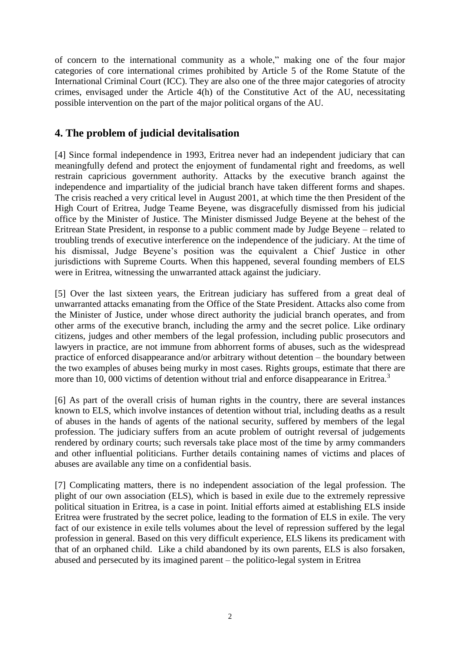of concern to the international community as a whole," making one of the four major categories of core international crimes prohibited by Article 5 of the Rome Statute of the International Criminal Court (ICC). They are also one of the three major categories of atrocity crimes, envisaged under the Article 4(h) of the Constitutive Act of the AU, necessitating possible intervention on the part of the major political organs of the AU.

#### **4. The problem of judicial devitalisation**

[4] Since formal independence in 1993, Eritrea never had an independent judiciary that can meaningfully defend and protect the enjoyment of fundamental right and freedoms, as well restrain capricious government authority. Attacks by the executive branch against the independence and impartiality of the judicial branch have taken different forms and shapes. The crisis reached a very critical level in August 2001, at which time the then President of the High Court of Eritrea, Judge Teame Beyene, was disgracefully dismissed from his judicial office by the Minister of Justice. The Minister dismissed Judge Beyene at the behest of the Eritrean State President, in response to a public comment made by Judge Beyene – related to troubling trends of executive interference on the independence of the judiciary. At the time of his dismissal, Judge Beyene's position was the equivalent a Chief Justice in other jurisdictions with Supreme Courts. When this happened, several founding members of ELS were in Eritrea, witnessing the unwarranted attack against the judiciary.

[5] Over the last sixteen years, the Eritrean judiciary has suffered from a great deal of unwarranted attacks emanating from the Office of the State President. Attacks also come from the Minister of Justice, under whose direct authority the judicial branch operates, and from other arms of the executive branch, including the army and the secret police. Like ordinary citizens, judges and other members of the legal profession, including public prosecutors and lawyers in practice, are not immune from abhorrent forms of abuses, such as the widespread practice of enforced disappearance and/or arbitrary without detention – the boundary between the two examples of abuses being murky in most cases. Rights groups, estimate that there are more than 10, 000 victims of detention without trial and enforce disappearance in Eritrea.<sup>3</sup>

[6] As part of the overall crisis of human rights in the country, there are several instances known to ELS, which involve instances of detention without trial, including deaths as a result of abuses in the hands of agents of the national security, suffered by members of the legal profession. The judiciary suffers from an acute problem of outright reversal of judgements rendered by ordinary courts; such reversals take place most of the time by army commanders and other influential politicians. Further details containing names of victims and places of abuses are available any time on a confidential basis.

[7] Complicating matters, there is no independent association of the legal profession. The plight of our own association (ELS), which is based in exile due to the extremely repressive political situation in Eritrea, is a case in point. Initial efforts aimed at establishing ELS inside Eritrea were frustrated by the secret police, leading to the formation of ELS in exile. The very fact of our existence in exile tells volumes about the level of repression suffered by the legal profession in general. Based on this very difficult experience, ELS likens its predicament with that of an orphaned child. Like a child abandoned by its own parents, ELS is also forsaken, abused and persecuted by its imagined parent – the politico-legal system in Eritrea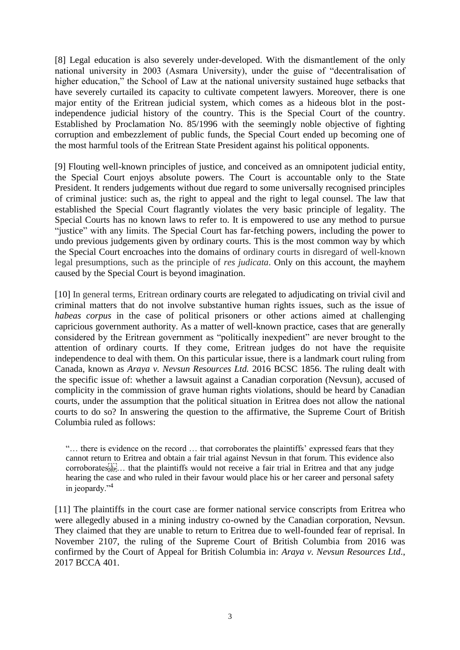[8] Legal education is also severely under-developed. With the dismantlement of the only national university in 2003 (Asmara University), under the guise of "decentralisation of higher education," the School of Law at the national university sustained huge setbacks that have severely curtailed its capacity to cultivate competent lawyers. Moreover, there is one major entity of the Eritrean judicial system, which comes as a hideous blot in the postindependence judicial history of the country. This is the Special Court of the country. Established by Proclamation No. 85/1996 with the seemingly noble objective of fighting corruption and embezzlement of public funds, the Special Court ended up becoming one of the most harmful tools of the Eritrean State President against his political opponents.

[9] Flouting well-known principles of justice, and conceived as an omnipotent judicial entity, the Special Court enjoys absolute powers. The Court is accountable only to the State President. It renders judgements without due regard to some universally recognised principles of criminal justice: such as, the right to appeal and the right to legal counsel. The law that established the Special Court flagrantly violates the very basic principle of legality. The Special Courts has no known laws to refer to. It is empowered to use any method to pursue "justice" with any limits. The Special Court has far-fetching powers, including the power to undo previous judgements given by ordinary courts. This is the most common way by which the Special Court encroaches into the domains of ordinary courts in disregard of well-known legal presumptions, such as the principle of *res judicata*. Only on this account, the mayhem caused by the Special Court is beyond imagination.

[10] In general terms, Eritrean ordinary courts are relegated to adjudicating on trivial civil and criminal matters that do not involve substantive human rights issues, such as the issue of *habeas corpus* in the case of political prisoners or other actions aimed at challenging capricious government authority. As a matter of well-known practice, cases that are generally considered by the Eritrean government as "politically inexpedient" are never brought to the attention of ordinary courts. If they come, Eritrean judges do not have the requisite independence to deal with them. On this particular issue, there is a landmark court ruling from Canada, known as *Araya v. Nevsun Resources Ltd.* 2016 BCSC 1856. The ruling dealt with the specific issue of: whether a lawsuit against a Canadian corporation (Nevsun), accused of complicity in the commission of grave human rights violations, should be heard by Canadian courts, under the assumption that the political situation in Eritrea does not allow the national courts to do so? In answering the question to the affirmative, the Supreme Court of British Columbia ruled as follows:

"… there is evidence on the record … that corroborates the plaintiffs' expressed fears that they cannot return to Eritrea and obtain a fair trial against Nevsun in that forum. This evidence also corroborates
… that the plaintiffs would not receive a fair trial in Eritrea and that any judge hearing the case and who ruled in their favour would place his or her career and personal safety in jeopardy."<sup>4</sup>

[11] The plaintiffs in the court case are former national service conscripts from Eritrea who were allegedly abused in a mining industry co-owned by the Canadian corporation, Nevsun. They claimed that they are unable to return to Eritrea due to well-founded fear of reprisal. In November 2107, the ruling of the Supreme Court of British Columbia from 2016 was confirmed by the Court of Appeal for British Columbia in: *Araya v. Nevsun Resources Ltd*., 2017 BCCA 401.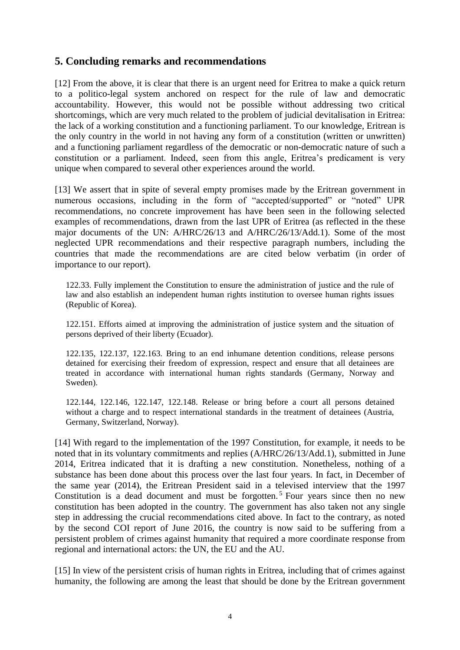## **5. Concluding remarks and recommendations**

[12] From the above, it is clear that there is an urgent need for Eritrea to make a quick return to a politico-legal system anchored on respect for the rule of law and democratic accountability. However, this would not be possible without addressing two critical shortcomings, which are very much related to the problem of judicial devitalisation in Eritrea: the lack of a working constitution and a functioning parliament. To our knowledge, Eritrean is the only country in the world in not having any form of a constitution (written or unwritten) and a functioning parliament regardless of the democratic or non-democratic nature of such a constitution or a parliament. Indeed, seen from this angle, Eritrea's predicament is very unique when compared to several other experiences around the world.

[13] We assert that in spite of several empty promises made by the Eritrean government in numerous occasions, including in the form of "accepted/supported" or "noted" UPR recommendations, no concrete improvement has have been seen in the following selected examples of recommendations, drawn from the last UPR of Eritrea (as reflected in the these major documents of the UN: A/HRC/26/13 and A/HRC/26/13/Add.1). Some of the most neglected UPR recommendations and their respective paragraph numbers, including the countries that made the recommendations are are cited below verbatim (in order of importance to our report).

122.33. Fully implement the Constitution to ensure the administration of justice and the rule of law and also establish an independent human rights institution to oversee human rights issues (Republic of Korea).

122.151. Efforts aimed at improving the administration of justice system and the situation of persons deprived of their liberty (Ecuador).

122.135, 122.137, 122.163. Bring to an end inhumane detention conditions, release persons detained for exercising their freedom of expression, respect and ensure that all detainees are treated in accordance with international human rights standards (Germany, Norway and Sweden).

122.144, 122.146, 122.147, 122.148. Release or bring before a court all persons detained without a charge and to respect international standards in the treatment of detainees (Austria, Germany, Switzerland, Norway).

[14] With regard to the implementation of the 1997 Constitution, for example, it needs to be noted that in its voluntary commitments and replies (A/HRC/26/13/Add.1), submitted in June 2014, Eritrea indicated that it is drafting a new constitution. Nonetheless, nothing of a substance has been done about this process over the last four years. In fact, in December of the same year (2014), the Eritrean President said in a televised interview that the 1997 Constitution is a dead document and must be forgotten.<sup>5</sup> Four years since then no new constitution has been adopted in the country. The government has also taken not any single step in addressing the crucial recommendations cited above. In fact to the contrary, as noted by the second COI report of June 2016, the country is now said to be suffering from a persistent problem of crimes against humanity that required a more coordinate response from regional and international actors: the UN, the EU and the AU.

[15] In view of the persistent crisis of human rights in Eritrea, including that of crimes against humanity, the following are among the least that should be done by the Eritrean government